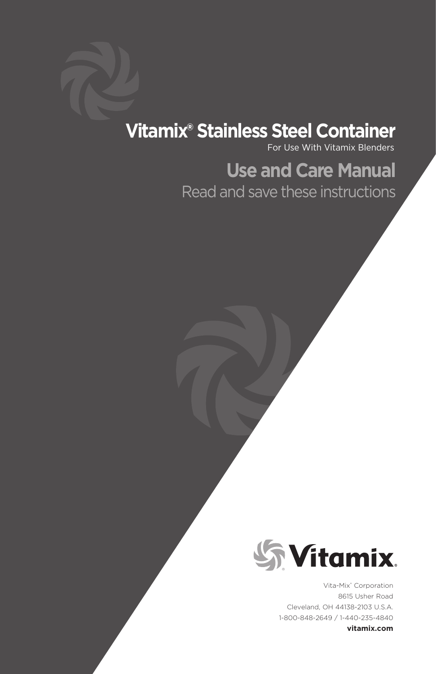# **Vitamix® Stainless Steel Container**

For Use With Vitamix Blenders

# **Use and Care Manual** Read and save these instructions

**Syltamix** 

Vita-Mix® Corporation 8615 Usher Road Cleveland, OH 44138-2103 U.S.A. 1-800-848-2649 / 1-440-235-4840

**vitamix.com**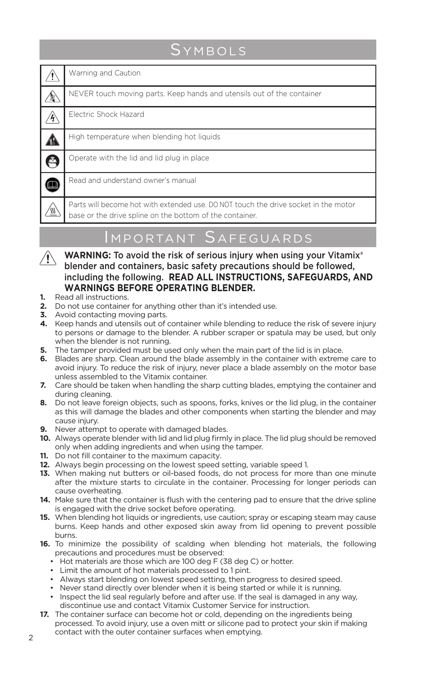# **SYMBOLS**

|   | Warning and Caution                                                                                                                             |
|---|-------------------------------------------------------------------------------------------------------------------------------------------------|
| t | NEVER touch moving parts. Keep hands and utensils out of the container                                                                          |
|   | Flectric Shock Hazard                                                                                                                           |
|   | High temperature when blending hot liquids                                                                                                      |
| A | Operate with the lid and lid plug in place                                                                                                      |
|   | Read and understand owner's manual                                                                                                              |
|   | Parts will become hot with extended use. DO NOT touch the drive socket in the motor<br>base or the drive spline on the bottom of the container. |

# Important Safeguards

- WARNING: To avoid the risk of serious injury when using your Vitamix®  $\sqrt{N}$ blender and containers, basic safety precautions should be followed, including the following. **READ ALL INSTRUCTIONS, SAFEGUARDS, AND WARNINGS BEFORE OPERATING BLENDER.**
- **1.** Read all instructions.
- **2.** Do not use container for anything other than it's intended use.
- **3.** Avoid contacting moving parts.
- **4.** Keep hands and utensils out of container while blending to reduce the risk of severe injury to persons or damage to the blender. A rubber scraper or spatula may be used, but only when the blender is not running.
- **5.** The tamper provided must be used only when the main part of the lid is in place.
- **6.** Blades are sharp. Clean around the blade assembly in the container with extreme care to avoid injury. To reduce the risk of injury, never place a blade assembly on the motor base unless assembled to the Vitamix container.
- **7.** Care should be taken when handling the sharp cutting blades, emptying the container and during cleaning.
- **8.** Do not leave foreign objects, such as spoons, forks, knives or the lid plug, in the container as this will damage the blades and other components when starting the blender and may cause injury.
- **9.** Never attempt to operate with damaged blades.
- **10.** Always operate blender with lid and lid plug firmly in place. The lid plug should be removed only when adding ingredients and when using the tamper.
- **11.** Do not fill container to the maximum capacity.
- **12.** Always begin processing on the lowest speed setting, variable speed 1.
- **13.** When making nut butters or oil-based foods, do not process for more than one minute after the mixture starts to circulate in the container. Processing for longer periods can cause overheating.
- **14.** Make sure that the container is flush with the centering pad to ensure that the drive spline is engaged with the drive socket before operating.
- **15.** When blending hot liquids or ingredients, use caution; spray or escaping steam may cause burns. Keep hands and other exposed skin away from lid opening to prevent possible burns.
- **16.** To minimize the possibility of scalding when blending hot materials, the following precautions and procedures must be observed:
	- Hot materials are those which are 100 deg F (38 deg C) or hotter.
	- Limit the amount of hot materials processed to 1 pint.
	- Always start blending on lowest speed setting, then progress to desired speed.
	- Never stand directly over blender when it is being started or while it is running.
	- Inspect the lid seal regularly before and after use. If the seal is damaged in any way, discontinue use and contact Vitamix Customer Service for instruction.
- **17.** The container surface can become hot or cold, depending on the ingredients being processed. To avoid injury, use a oven mitt or silicone pad to protect your skin if making
- contact with the outer container surfaces when emptying.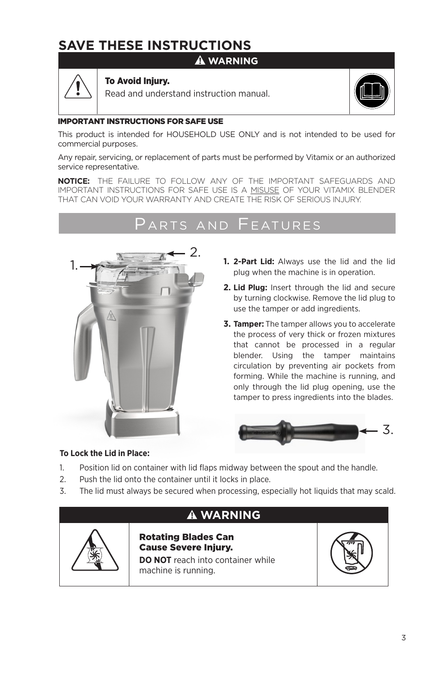# **SAVE THESE INSTRUCTIONS**

### **WARNING**



### To Avoid Injury.

Read and understand instruction manual.



#### IMPORTANT INSTRUCTIONS FOR SAFE USE

This product is intended for HOUSEHOLD USE ONLY and is not intended to be used for commercial purposes.

Any repair, servicing, or replacement of parts must be performed by Vitamix or an authorized service representative.

**NOTICE:** THE FAILURE TO FOLLOW ANY OF THE IMPORTANT SAFEGUARDS AND IMPORTANT INSTRUCTIONS FOR SAFE USE IS A MISUSE OF YOUR VITAMIX BLENDER THAT CAN VOID YOUR WARRANTY AND CREATE THE RISK OF SERIOUS INJURY.

### RTS AND FFATURES



- **1. 2-Part Lid:** Always use the lid and the lid plug when the machine is in operation.
- **2. Lid Plug:** Insert through the lid and secure by turning clockwise. Remove the lid plug to use the tamper or add ingredients.
- **3. Tamper:** The tamper allows you to accelerate the process of very thick or frozen mixtures that cannot be processed in a regular blender. Using the tamper maintains circulation by preventing air pockets from forming. While the machine is running, and only through the lid plug opening, use the tamper to press ingredients into the blades.



#### **To Lock the Lid in Place:**

- 1. Position lid on container with lid flaps midway between the spout and the handle.
- 2. Push the lid onto the container until it locks in place.
- 3. The lid must always be secured when processing, especially hot liquids that may scald.

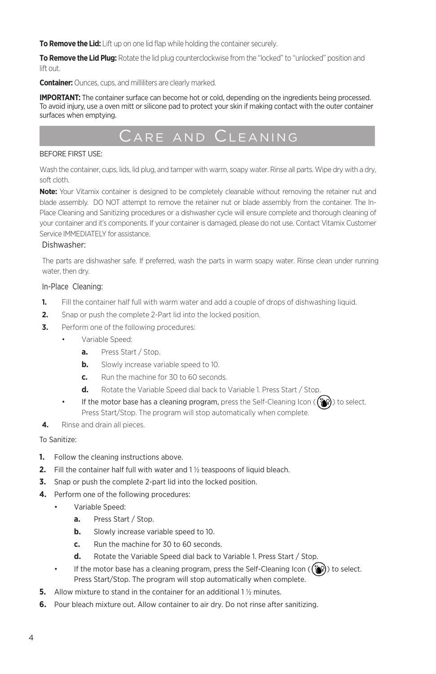**To Remove the Lid:** Lift up on one lid flap while holding the container securely.

**To Remove the Lid Plug:** Rotate the lid plug counterclockwise from the "locked" to "unlocked" position and lift out.

**Container:** Ounces, cups, and milliliters are clearly marked.

**IMPORTANT:** The container surface can become hot or cold, depending on the ingredients being processed. To avoid injury, use a oven mitt or silicone pad to protect your skin if making contact with the outer container surfaces when emptying.

# Care and Cleaning

#### BEFORE FIRST USE:

Wash the container, cups, lids, lid plug, and tamper with warm, soapy water. Rinse all parts. Wipe dry with a dry, soft cloth.

**Note:** Your Vitamix container is designed to be completely cleanable without removing the retainer nut and blade assembly. DO NOT attempt to remove the retainer nut or blade assembly from the container. The In-Place Cleaning and Sanitizing procedures or a dishwasher cycle will ensure complete and thorough cleaning of your container and it's components. If your container is damaged, please do not use. Contact Vitamix Customer Service IMMEDIATELY for assistance.

#### Dishwasher:

The parts are dishwasher safe. If preferred, wash the parts in warm soapy water. Rinse clean under running water, then dry.

#### In-Place Cleaning:

- **1.** Fill the container half full with warm water and add a couple of drops of dishwashing liquid.
- **2.** Snap or push the complete 2-Part lid into the locked position.
- **3.** Perform one of the following procedures:
	- Variable Speed:
		- **a.** Press Start / Stop.
		- **b.** Slowly increase variable speed to 10.
		- **c.** Run the machine for 30 to 60 seconds.
		- **d.** Rotate the Variable Speed dial back to Variable 1. Press Start / Stop.
	- If the motor base has a cleaning program, press the Self-Cleaning Icon ( $(\ddot{\bullet}$ ) to select. Press Start/Stop. The program will stop automatically when complete.
- **4.** Rinse and drain all pieces.

#### To Sanitize:

- **1.** Follow the cleaning instructions above.
- **2.** Fill the container half full with water and 1 ½ teaspoons of liquid bleach.
- **3.** Snap or push the complete 2-part lid into the locked position.
- **4.** Perform one of the following procedures:
	- Variable Speed:
		- **a.** Press Start / Stop.
		- **b.** Slowly increase variable speed to 10.
		- **c.** Run the machine for 30 to 60 seconds.
		- **d.** Rotate the Variable Speed dial back to Variable 1. Press Start / Stop.
	- If the motor base has a cleaning program, press the Self-Cleaning Icon ( $\binom{2}{3}$ ) to select. Press Start/Stop. The program will stop automatically when complete.
- **5.** Allow mixture to stand in the container for an additional 1 % minutes.
- **6.** Pour bleach mixture out. Allow container to air dry. Do not rinse after sanitizing.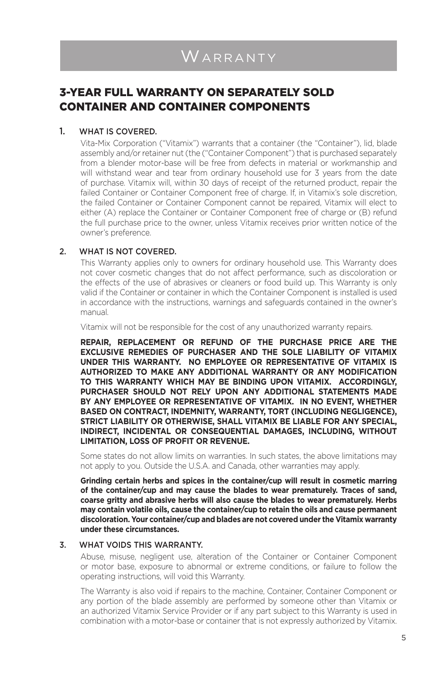### 3-YEAR FULL WARRANTY ON SEPARATELY SOLD CONTAINER AND CONTAINER COMPONENTS

#### 1. WHAT IS COVERED.

Vita-Mix Corporation ("Vitamix") warrants that a container (the "Container"), lid, blade assembly and/or retainer nut (the ("Container Component") that is purchased separately from a blender motor-base will be free from defects in material or workmanship and will withstand wear and tear from ordinary household use for 3 years from the date of purchase. Vitamix will, within 30 days of receipt of the returned product, repair the failed Container or Container Component free of charge. If, in Vitamix's sole discretion, the failed Container or Container Component cannot be repaired, Vitamix will elect to either (A) replace the Container or Container Component free of charge or (B) refund the full purchase price to the owner, unless Vitamix receives prior written notice of the owner's preference.

#### 2. WHAT IS NOT COVERED.

This Warranty applies only to owners for ordinary household use. This Warranty does not cover cosmetic changes that do not affect performance, such as discoloration or the effects of the use of abrasives or cleaners or food build up. This Warranty is only valid if the Container or container in which the Container Component is installed is used in accordance with the instructions, warnings and safeguards contained in the owner's manual.

Vitamix will not be responsible for the cost of any unauthorized warranty repairs.

**REPAIR, REPLACEMENT OR REFUND OF THE PURCHASE PRICE ARE THE EXCLUSIVE REMEDIES OF PURCHASER AND THE SOLE LIABILITY OF VITAMIX UNDER THIS WARRANTY. NO EMPLOYEE OR REPRESENTATIVE OF VITAMIX IS AUTHORIZED TO MAKE ANY ADDITIONAL WARRANTY OR ANY MODIFICATION TO THIS WARRANTY WHICH MAY BE BINDING UPON VITAMIX. ACCORDINGLY, PURCHASER SHOULD NOT RELY UPON ANY ADDITIONAL STATEMENTS MADE BY ANY EMPLOYEE OR REPRESENTATIVE OF VITAMIX. IN NO EVENT, WHETHER BASED ON CONTRACT, INDEMNITY, WARRANTY, TORT (INCLUDING NEGLIGENCE), STRICT LIABILITY OR OTHERWISE, SHALL VITAMIX BE LIABLE FOR ANY SPECIAL, INDIRECT, INCIDENTAL OR CONSEQUENTIAL DAMAGES, INCLUDING, WITHOUT LIMITATION, LOSS OF PROFIT OR REVENUE.** 

Some states do not allow limits on warranties. In such states, the above limitations may not apply to you. Outside the U.S.A. and Canada, other warranties may apply.

**Grinding certain herbs and spices in the container/cup will result in cosmetic marring of the container/cup and may cause the blades to wear prematurely. Traces of sand, coarse gritty and abrasive herbs will also cause the blades to wear prematurely. Herbs may contain volatile oils, cause the container/cup to retain the oils and cause permanent discoloration. Your container/cup and blades are not covered under the Vitamix warranty under these circumstances.**

#### 3. WHAT VOIDS THIS WARRANTY.

Abuse, misuse, negligent use, alteration of the Container or Container Component or motor base, exposure to abnormal or extreme conditions, or failure to follow the operating instructions, will void this Warranty.

The Warranty is also void if repairs to the machine, Container, Container Component or any portion of the blade assembly are performed by someone other than Vitamix or an authorized Vitamix Service Provider or if any part subject to this Warranty is used in combination with a motor-base or container that is not expressly authorized by Vitamix.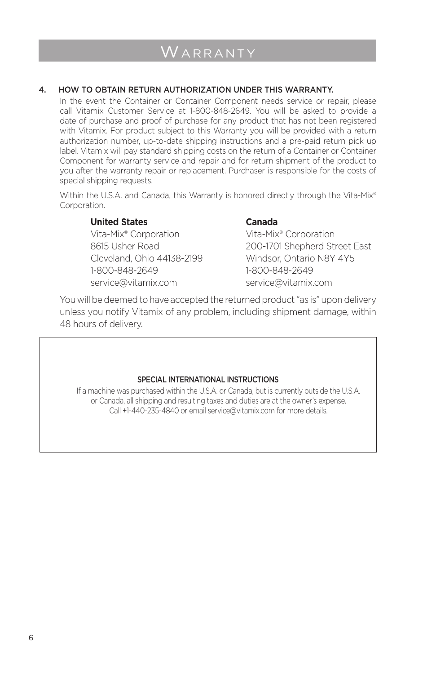#### 4. HOW TO OBTAIN RETURN AUTHORIZATION UNDER THIS WARRANTY.

In the event the Container or Container Component needs service or repair, please call Vitamix Customer Service at 1-800-848-2649. You will be asked to provide a date of purchase and proof of purchase for any product that has not been registered with Vitamix. For product subject to this Warranty you will be provided with a return authorization number, up-to-date shipping instructions and a pre-paid return pick up label. Vitamix will pay standard shipping costs on the return of a Container or Container Component for warranty service and repair and for return shipment of the product to you after the warranty repair or replacement. Purchaser is responsible for the costs of special shipping requests.

Within the U.S.A. and Canada, this Warranty is honored directly through the Vita-Mix® Corporation.

#### **United States Canada**

Vita-Mix® Corporation Vita-Mix® Corporation Cleveland, Ohio 44138-2199 Windsor, Ontario N8Y 4Y5 1-800-848-2649 1-800-848-2649 service@vitamix.com service@vitamix.com

8615 Usher Road 200-1701 Shepherd Street East

You will be deemed to have accepted the returned product "as is" upon delivery unless you notify Vitamix of any problem, including shipment damage, within 48 hours of delivery.

#### SPECIAL INTERNATIONAL INSTRUCTIONS

If a machine was purchased within the U.S.A. or Canada, but is currently outside the U.S.A. or Canada, all shipping and resulting taxes and duties are at the owner's expense. Call +1-440-235-4840 or email service@vitamix.com for more details.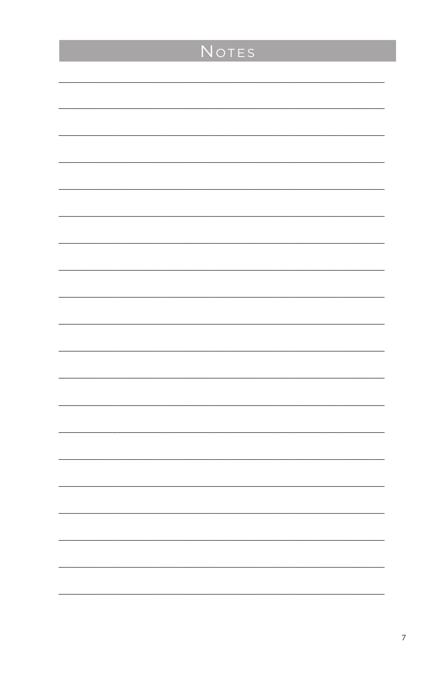| <b>NOTES</b> |
|--------------|
|              |
|              |
|              |
|              |
|              |
|              |
|              |
|              |
|              |
|              |
|              |
|              |
|              |
|              |
|              |
|              |
|              |
|              |
|              |
|              |
|              |
|              |
|              |
|              |
|              |
|              |
|              |
|              |
|              |
|              |
|              |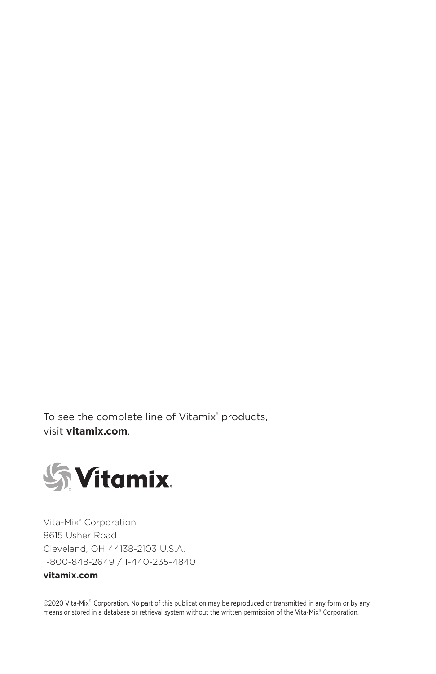To see the complete line of Vitamix® products, visit **vitamix.com**.



Vita-Mix® Corporation 8615 Usher Road Cleveland, OH 44138-2103 U.S.A. 1-800-848-2649 / 1-440-235-4840

### **vitamix.com**

©2020 Vita-Mix® Corporation. No part of this publication may be reproduced or transmitted in any form or by any means or stored in a database or retrieval system without the written permission of the Vita-Mix® Corporation.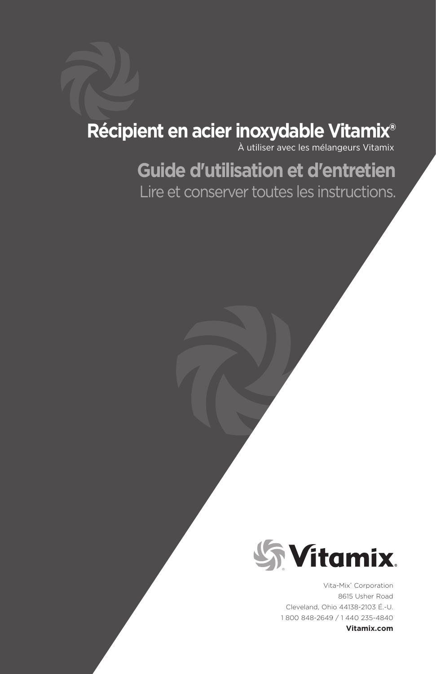# **Récipient en acier inoxydable Vitamix®**

À utiliser avec les mélangeurs Vitamix

# **Guide d'utilisation et d'entretien** Lire et conserver toutes les instructions.



Vita-Mix® Corporation 8615 Usher Road Cleveland, Ohio 44138-2103 É.-U. 1 800 848-2649 / 1 440 235-4840

**Vitamix.com**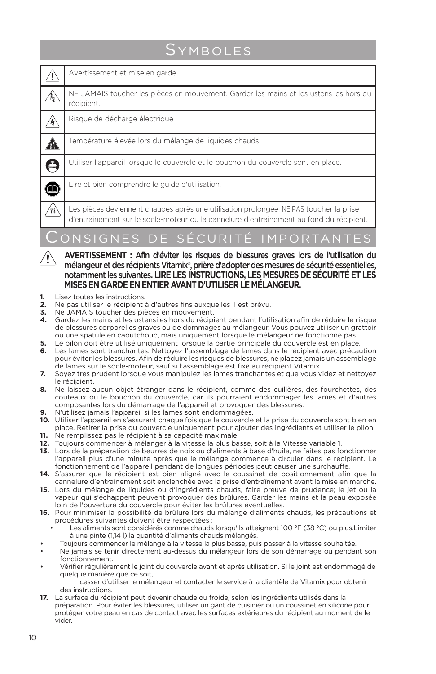# **SYMBOLES**

|                                   | Avertissement et mise en garde                                                                                                                                                    |
|-----------------------------------|-----------------------------------------------------------------------------------------------------------------------------------------------------------------------------------|
| $\mathbb{A}$                      | NE JAMAIS toucher les pièces en mouvement. Garder les mains et les ustensiles hors du<br>récipient.                                                                               |
| Â                                 | Risque de décharge électrique                                                                                                                                                     |
|                                   | Température élevée lors du mélange de liquides chauds                                                                                                                             |
| A                                 | Utiliser l'appareil lorsque le couvercle et le bouchon du couvercle sont en place.                                                                                                |
|                                   | Lire et bien comprendre le guide d'utilisation.                                                                                                                                   |
|                                   | Les pièces deviennent chaudes après une utilisation prolongée. NE PAS toucher la prise<br>d'entraînement sur le socle-moteur ou la cannelure d'entraînement au fond du récipient. |
| CONSIGNES DE SÉCURITÉ IMPORTANTES |                                                                                                                                                                                   |

- **AVERTISSEMENT :** Afin d'éviter les risques de blessures graves lors de l'utilisation du mélangeur et des récipients Vitamix®, prière d'adopter des mesures de sécurité essentielles, notamment les suivantes**. LIRE LES INSTRUCTIONS, LES MESURES DE SÉCURITÉ ET LES MISES EN GARDE EN ENTIER AVANT D'UTILISER LE MÉLANGEUR.**
- **1.** Lisez toutes les instructions.<br>**2.** Ne pas utiliser le récipient
- **2.** Ne pas utiliser le récipient à d'autres fins auxquelles il est prévu.
- **3.** Ne JAMAIS toucher des pièces en mouvement.
- **4.** Gardez les mains et les ustensiles hors du récipient pendant l'utilisation afin de réduire le risque de blessures corporelles graves ou de dommages au mélangeur. Vous pouvez utiliser un grattoir ou une spatule en caoutchouc, mais uniquement lorsque le mélangeur ne fonctionne pas.
- **5.** Le pilon doit être utilisé uniquement lorsque la partie principale du couvercle est en place.
- **6.** Les lames sont tranchantes. Nettoyez l'assemblage de lames dans le récipient avec précaution pour éviter les blessures. Afin de réduire les risques de blessures, ne placez jamais un assemblage de lames sur le socle-moteur, sauf si l'assemblage est fixé au récipient Vitamix.
- **7.** Soyez très prudent lorsque vous manipulez les lames tranchantes et que vous videz et nettoyez le récipient.
- **8.** Ne laissez aucun objet étranger dans le récipient, comme des cuillères, des fourchettes, des couteaux ou le bouchon du couvercle, car ils pourraient endommager les lames et d'autres composantes lors du démarrage de l'appareil et provoquer des blessures.
- **9.** N'utilisez jamais l'appareil si les lames sont endommagées.
- **10.** Utiliser l'appareil en s'assurant chaque fois que le couvercle et la prise du couvercle sont bien en place. Retirer la prise du couvercle uniquement pour ajouter des ingrédients et utiliser le pilon. **11.** Ne remplissez pas le récipient à sa capacité maximale.
- 
- **12.** Toujours commencer à mélanger à la vitesse la plus basse, soit à la Vitesse variable 1.
- **13.** Lors de la préparation de beurres de noix ou d'aliments à base d'huile, ne faites pas fonctionner l'appareil plus d'une minute après que le mélange commence à circuler dans le récipient. Le fonctionnement de l'appareil pendant de longues périodes peut causer une surchauffe.
- **14.** S'assurer que le récipient est bien aligné avec le coussinet de positionnement afin que la cannelure d'entraînement soit enclenchée avec la prise d'entraînement avant la mise en marche.
- **15.** Lors du mélange de liquides ou d'ingrédients chauds, faire preuve de prudence; le jet ou la vapeur qui s'échappent peuvent provoquer des brûlures. Garder les mains et la peau exposée loin de l'ouverture du couvercle pour éviter les brûlures éventuelles.
- **16.** Pour minimiser la possibilité de brûlure lors du mélange d'aliments chauds, les précautions et procédures suivantes doivent être respectées :
	- Les aliments sont considérés comme chauds lorsqu'ils atteignent 100 °F (38 °C) ou plus.Limiter à une pinte (1,14 l) la quantité d'aliments chauds mélangés.
	- Toujours commencer le mélange à la vitesse la plus basse, puis passer à la vitesse souhaitée.
- Ne jamais se tenir directement au-dessus du mélangeur lors de son démarrage ou pendant son fonctionnement.
- Vérifier régulièrement le joint du couvercle avant et après utilisation. Si le joint est endommagé de quelque manière que ce soit,

cesser d'utiliser le mélangeur et contacter le service à la clientèle de Vitamix pour obtenir des instructions.

**17.** La surface du récipient peut devenir chaude ou froide, selon les ingrédients utilisés dans la préparation. Pour éviter les blessures, utiliser un gant de cuisinier ou un coussinet en silicone pour protéger votre peau en cas de contact avec les surfaces extérieures du récipient au moment de le vider.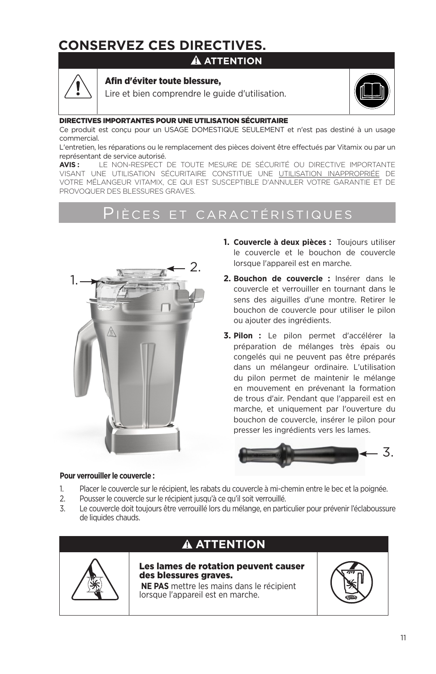# **CONSERVEZ CES DIRECTIVES.**

### **ATTENTION**



#### Afin d'éviter toute blessure,

Lire et bien comprendre le guide d'utilisation.



#### DIRECTIVES IMPORTANTES POUR UNE UTILISATION SÉCURITAIRE

Ce produit est conçu pour un USAGE DOMESTIQUE SEULEMENT et n'est pas destiné à un usage commercial.

L'entretien, les réparations ou le remplacement des pièces doivent être effectués par Vitamix ou par un représentant de service autorisé.

**AVIS :** LE NON-RESPECT DE TOUTE MESURE DE SÉCURITÉ OU DIRECTIVE IMPORTANTE VISANT UNE UTILISATION SÉCURITAIRE CONSTITUE UNE UTILISATION INAPPROPRIÉE DE VOTRE MÉLANGEUR VITAMIX, CE QUI EST SUSCEPTIBLE D'ANNULER VOTRE GARANTIE ET DE PROVOQUER DES BLESSURES GRAVES.

### Pièces et caractéristiques



- **1. Couvercle à deux pièces :** Toujours utiliser le couvercle et le bouchon de couvercle lorsque l'appareil est en marche.
- **2. Bouchon de couvercle :** Insérer dans le couvercle et verrouiller en tournant dans le sens des aiguilles d'une montre. Retirer le bouchon de couvercle pour utiliser le pilon ou ajouter des ingrédients.
- **3. Pilon :** Le pilon permet d'accélérer la préparation de mélanges très épais ou congelés qui ne peuvent pas être préparés dans un mélangeur ordinaire. L'utilisation du pilon permet de maintenir le mélange en mouvement en prévenant la formation de trous d'air. Pendant que l'appareil est en marche, et uniquement par l'ouverture du bouchon de couvercle, insérer le pilon pour presser les ingrédients vers les lames.



#### **Pour verrouiller le couvercle :**

- 1. Placer le couvercle sur le récipient, les rabats du couvercle à mi-chemin entre le bec et la poignée.
- 2. Pousser le couvercle sur le récipient jusqu'à ce qu'il soit verrouillé.
- 3. Le couvercle doit toujours être verrouillé lors du mélange, en particulier pour prévenir l'éclaboussure de liquides chauds.



### **ATTENTION**

Les lames de rotation peuvent causer des blessures graves.

 **NE PAS** mettre les mains dans le récipient lorsque l'appareil est en marche.

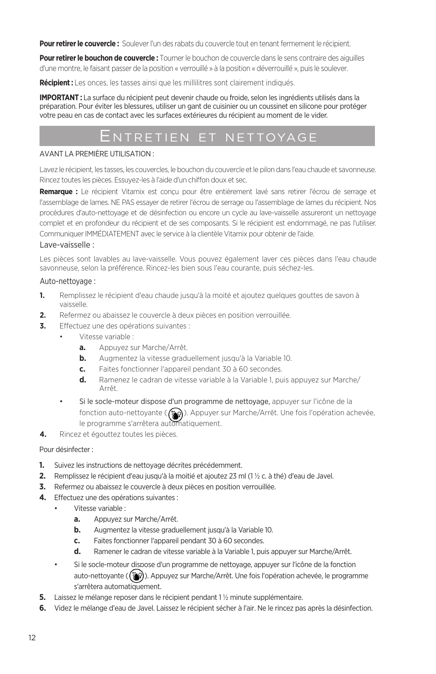**Pour retirer le couvercle :** Soulever l'un des rabats du couvercle tout en tenant fermement le récipient.

**Pour retirer le bouchon de couvercle :** Tourner le bouchon de couvercle dans le sens contraire des aiguilles d'une montre, le faisant passer de la position « verrouillé » à la position « déverrouillé », puis le soulever.

**Récipient :** Les onces, les tasses ainsi que les millilitres sont clairement indiqués.

**IMPORTANT :** La surface du récipient peut devenir chaude ou froide, selon les ingrédients utilisés dans la préparation. Pour éviter les blessures, utiliser un gant de cuisinier ou un coussinet en silicone pour protéger votre peau en cas de contact avec les surfaces extérieures du récipient au moment de le vider.

### Entretien et nettoyage

#### AVANT LA PREMIÈRE UTILISATION :

Lavez le récipient, les tasses, les couvercles, le bouchon du couvercle et le pilon dans l'eau chaude et savonneuse. Rincez toutes les pièces. Essuyez-les à l'aide d'un chiffon doux et sec.

**Remarque :** Le récipient Vitamix est conçu pour être entièrement lavé sans retirer l'écrou de serrage et l'assemblage de lames. NE PAS essayer de retirer l'écrou de serrage ou l'assemblage de lames du récipient. Nos procédures d'auto-nettoyage et de désinfection ou encore un cycle au lave-vaisselle assureront un nettoyage complet et en profondeur du récipient et de ses composants. Si le récipient est endommagé, ne pas l'utiliser. Communiquer IMMÉDIATEMENT avec le service à la clientèle Vitamix pour obtenir de l'aide.

#### Lave-vaisselle :

Les pièces sont lavables au lave-vaisselle. Vous pouvez également laver ces pièces dans l'eau chaude savonneuse, selon la préférence. Rincez-les bien sous l'eau courante, puis séchez-les.

#### Auto-nettoyage :

- **1.** Remplissez le récipient d'eau chaude jusqu'à la moité et ajoutez quelques gouttes de savon à vaisselle.
- **2.** Refermez ou abaissez le couvercle à deux pièces en position verrouillée.
- **3.** Effectuez une des opérations suivantes :
	- Vitesse variable :
		- **a.** Appuyez sur Marche/Arrêt.
		- **b.** Augmentez la vitesse graduellement jusqu'à la Variable 10.
		- **c.** Faites fonctionner l'appareil pendant 30 à 60 secondes.
		- **d.** Ramenez le cadran de vitesse variable à la Variable 1, puis appuyez sur Marche/ Arrêt.
	- Si le socle-moteur dispose d'un programme de nettoyage, appuyer sur l'icône de la fonction auto-nettoyante (()). Appuyer sur Marche/Arrêt. Une fois l'opération achevée, le programme s'arrêtera automatiquement.
- **4.** Rincez et égouttez toutes les pièces.

#### Pour désinfecter :

- **1.** Suivez les instructions de nettoyage décrites précédemment.
- **2.** Remplissez le récipient d'eau jusqu'à la moitié et ajoutez 23 ml (1 ½ c. à thé) d'eau de Javel.
- **3.** Refermez ou abaissez le couvercle à deux pièces en position verrouillée.
- **4.** Effectuez une des opérations suivantes :
	- Vitesse variable :
		- **a.** Appuyez sur Marche/Arrêt.
		- **b.** Augmentez la vitesse graduellement jusqu'à la Variable 10.
		- **c.** Faites fonctionner l'appareil pendant 30 à 60 secondes.
		- **d.** Ramener le cadran de vitesse variable à la Variable 1, puis appuyer sur Marche/Arrêt.
	- Si le socle-moteur dispose d'un programme de nettoyage, appuyer sur l'icône de la fonction auto-nettoyante ( ). Appuyez sur Marche/Arrêt. Une fois l'opération achevée, le programme s'arrêtera automatiquement.
- **5.** Laissez le mélange reposer dans le récipient pendant 1 ½ minute supplémentaire.
- **6.** Videz le mélange d'eau de Javel. Laissez le récipient sécher à l'air. Ne le rincez pas après la désinfection.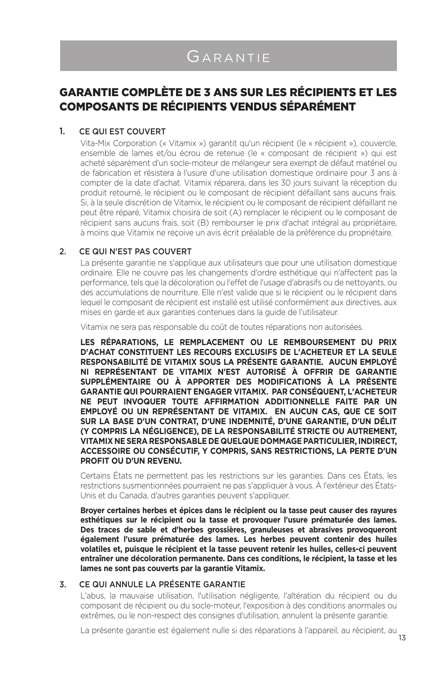# Garantie

### GARANTIE COMPLÈTE DE 3 ANS SUR LES RÉCIPIENTS ET LES COMPOSANTS DE RÉCIPIENTS VENDUS SÉPARÉMENT

#### 1. CE QUI EST COUVERT

Vita-Mix Corporation (« Vitamix ») garantit qu'un récipient (le « récipient »), couvercle, ensemble de lames et/ou écrou de retenue (le « composant de récipient ») qui est acheté séparément d'un socle-moteur de mélangeur sera exempt de défaut matériel ou de fabrication et résistera à l'usure d'une utilisation domestique ordinaire pour 3 ans à compter de la date d'achat. Vitamix réparera, dans les 30 jours suivant la réception du produit retourné, le récipient ou le composant de récipient défaillant sans aucuns frais. Si, à la seule discrétion de Vitamix, le récipient ou le composant de récipient défaillant ne peut être réparé, Vitamix choisira de soit (A) remplacer le récipient ou le composant de récipient sans aucuns frais, soit (B) rembourser le prix d'achat intégral au propriétaire, à moins que Vitamix ne reçoive un avis écrit préalable de la préférence du propriétaire.

#### 2. CE QUI N'EST PAS COUVERT

La présente garantie ne s'applique aux utilisateurs que pour une utilisation domestique ordinaire. Elle ne couvre pas les changements d'ordre esthétique qui n'affectent pas la performance, tels que la décoloration ou l'effet de l'usage d'abrasifs ou de nettoyants, ou des accumulations de nourriture. Elle n'est valide que si le récipient ou le récipient dans lequel le composant de récipient est installé est utilisé conformément aux directives, aux mises en garde et aux garanties contenues dans la guide de l'utilisateur.

Vitamix ne sera pas responsable du coût de toutes réparations non autorisées.

**LES RÉPARATIONS, LE REMPLACEMENT OU LE REMBOURSEMENT DU PRIX D'ACHAT CONSTITUENT LES RECOURS EXCLUSIFS DE L'ACHETEUR ET LA SEULE RESPONSABILITÉ DE VITAMIX SOUS LA PRÉSENTE GARANTIE. AUCUN EMPLOYÉ NI REPRÉSENTANT DE VITAMIX N'EST AUTORISÉ À OFFRIR DE GARANTIE SUPPLÉMENTAIRE OU À APPORTER DES MODIFICATIONS À LA PRÉSENTE GARANTIE QUI POURRAIENT ENGAGER VITAMIX. PAR CONSÉQUENT, L'ACHETEUR NE PEUT INVOQUER TOUTE AFFIRMATION ADDITIONNELLE FAITE PAR UN EMPLOYÉ OU UN REPRÉSENTANT DE VITAMIX. EN AUCUN CAS, QUE CE SOIT SUR LA BASE D'UN CONTRAT, D'UNE INDEMNITÉ, D'UNE GARANTIE, D'UN DÉLIT (Y COMPRIS LA NÉGLIGENCE), DE LA RESPONSABILITÉ STRICTE OU AUTREMENT, VITAMIX NE SERA RESPONSABLE DE QUELQUE DOMMAGE PARTICULIER, INDIRECT, ACCESSOIRE OU CONSÉCUTIF, Y COMPRIS, SANS RESTRICTIONS, LA PERTE D'UN PROFIT OU D'UN REVENU.** 

Certains États ne permettent pas les restrictions sur les garanties. Dans ces États, les restrictions susmentionnées pourraient ne pas s'appliquer à vous. À l'extérieur des États-Unis et du Canada, d'autres garanties peuvent s'appliquer.

**Broyer certaines herbes et épices dans le récipient ou la tasse peut causer des rayures esthétiques sur le récipient ou la tasse et provoquer l'usure prématurée des lames. Des traces de sable et d'herbes grossières, granuleuses et abrasives provoqueront également l'usure prématurée des lames. Les herbes peuvent contenir des huiles volatiles et, puisque le récipient et la tasse peuvent retenir les huiles, celles-ci peuvent entraîner une décoloration permanente. Dans ces conditions, le récipient, la tasse et les lames ne sont pas couverts par la garantie Vitamix.**

#### 3. CE QUI ANNULE LA PRÉSENTE GARANTIE

L'abus, la mauvaise utilisation, l'utilisation négligente, l'altération du récipient ou du composant de récipient ou du socle-moteur, l'exposition à des conditions anormales ou extrêmes, ou le non-respect des consignes d'utilisation, annulent la présente garantie.

13 La présente garantie est également nulle si des réparations à l'appareil, au récipient, au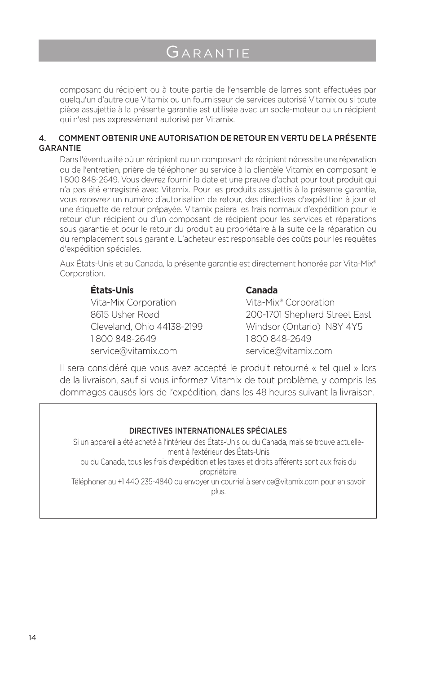# Garantie

composant du récipient ou à toute partie de l'ensemble de lames sont effectuées par quelqu'un d'autre que Vitamix ou un fournisseur de services autorisé Vitamix ou si toute pièce assujettie à la présente garantie est utilisée avec un socle-moteur ou un récipient qui n'est pas expressément autorisé par Vitamix.

#### 4. COMMENT OBTENIR UNE AUTORISATION DE RETOUR EN VERTU DE LA PRÉSENTE GARANTIE

Dans l'éventualité où un récipient ou un composant de récipient nécessite une réparation ou de l'entretien, prière de téléphoner au service à la clientèle Vitamix en composant le 1 800 848-2649. Vous devrez fournir la date et une preuve d'achat pour tout produit qui n'a pas été enregistré avec Vitamix. Pour les produits assujettis à la présente garantie, vous recevrez un numéro d'autorisation de retour, des directives d'expédition à jour et une étiquette de retour prépayée. Vitamix paiera les frais normaux d'expédition pour le retour d'un récipient ou d'un composant de récipient pour les services et réparations sous garantie et pour le retour du produit au propriétaire à la suite de la réparation ou du remplacement sous garantie. L'acheteur est responsable des coûts pour les requêtes d'expédition spéciales.

Aux États-Unis et au Canada, la présente garantie est directement honorée par Vita-Mix® Corporation.

#### **États-Unis Canada**

Vita-Mix Corporation Vita-Mix® Corporation 1 800 848-2649 1 800 848-2649 service@vitamix.com service@vitamix.com

8615 Usher Road 200-1701 Shepherd Street East Cleveland, Ohio 44138-2199 Windsor (Ontario) N8Y 4Y5

Il sera considéré que vous avez accepté le produit retourné « tel quel » lors de la livraison, sauf si vous informez Vitamix de tout problème, y compris les dommages causés lors de l'expédition, dans les 48 heures suivant la livraison.

#### DIRECTIVES INTERNATIONALES SPÉCIALES

Si un appareil a été acheté à l'intérieur des États-Unis ou du Canada, mais se trouve actuellement à l'extérieur des États-Unis

ou du Canada, tous les frais d'expédition et les taxes et droits afférents sont aux frais du propriétaire.

Téléphoner au +1 440 235-4840 ou envoyer un courriel à service@vitamix.com pour en savoir plus.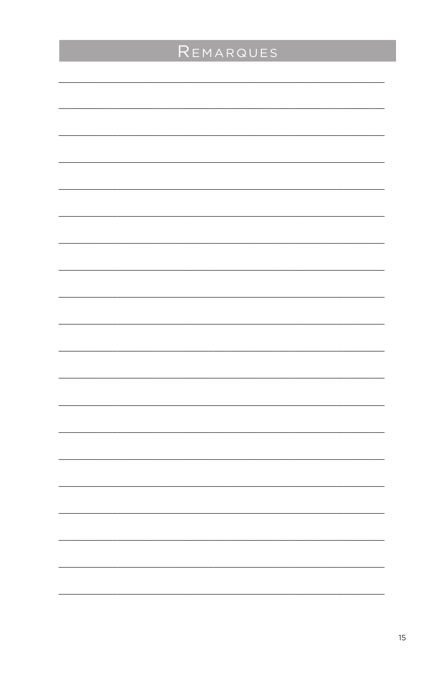| REMARQUES |
|-----------|
|           |
|           |
|           |
|           |
|           |
|           |
|           |
|           |
|           |
|           |
|           |
|           |
|           |
|           |
|           |
|           |
|           |
|           |
|           |
|           |
|           |
|           |
|           |
|           |
|           |
|           |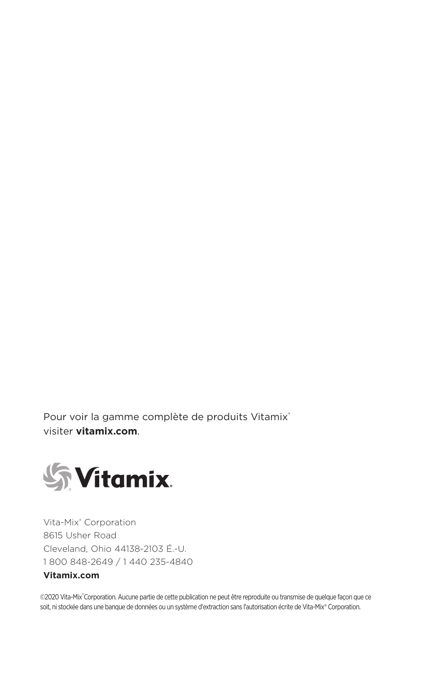Pour voir la gamme complète de produits Vitamix® visiter **vitamix.com**.



Vita-Mix® Corporation 8615 Usher Road Cleveland, Ohio 44138-2103 É.-U. 1 800 848-2649 / 1 440 235-4840

### **Vitamix.com**

©2020 Vita-Mix®Corporation. Aucune partie de cette publication ne peut être reproduite ou transmise de quelque façon que ce soit, ni stockée dans une banque de données ou un système d'extraction sans l'autorisation écrite de Vita-Mix® Corporation.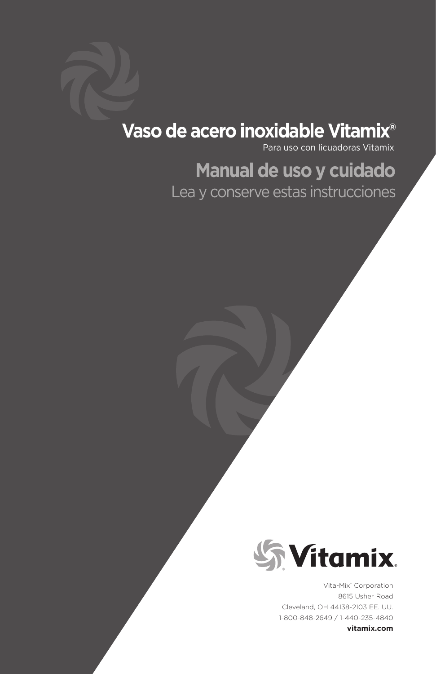# **Vaso de acero inoxidable Vitamix®**

Para uso con licuadoras Vitamix

# **Manual de uso y cuidado**

Lea y conserve estas instrucciones



Vita-Mix® Corporation 8615 Usher Road Cleveland, OH 44138-2103 EE. UU. 1-800-848-2649 / 1-440-235-4840

**vitamix.com**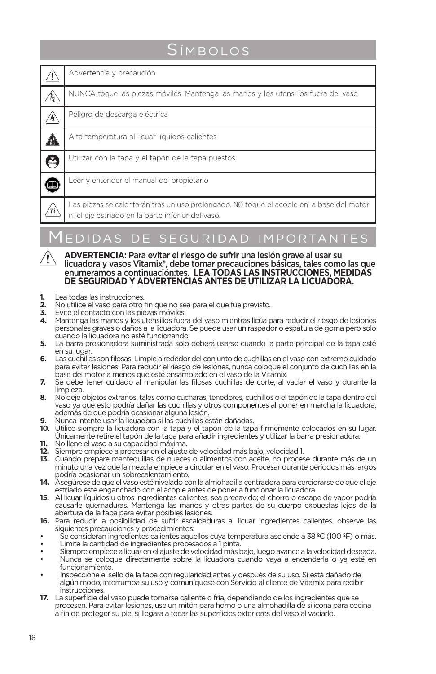# **S**ÍMBOLOS

| Advertencia y precaución                                                                                                                      |
|-----------------------------------------------------------------------------------------------------------------------------------------------|
| NUNCA toque las piezas móviles. Mantenga las manos y los utensilios fuera del vaso                                                            |
| Peligro de descarga eléctrica                                                                                                                 |
| Alta temperatura al licuar líquidos calientes                                                                                                 |
| Utilizar con la tapa y el tapón de la tapa puestos                                                                                            |
| Leer y entender el manual del propietario                                                                                                     |
| Las piezas se calentarán tras un uso prolongado. NO toque el acople en la base del motor<br>ni el eje estriado en la parte inferior del vaso. |
|                                                                                                                                               |

# Medidas de seguridad importantes

- **ADVERTENCIA:** Para evitar el riesgo de sufrir una lesión grave al usar su licuadora y vasos Vitamix®, debe tomar precauciones básicas, tales como las que enumeramos a continuación:tes. **LEA TODAS LAS INSTRUCCIONES, MEDIDAS**  DE SEGURIDAD Y ADVERTENCIAS ANTES DE UTILIZAR LA LICUADORA.
- **1.** Lea todas las instrucciones.<br>**2.** No utilice el vaso para otro
- **2.** No utilice el vaso para otro fin que no sea para el que fue previsto.
- **3.** Evite el contacto con las piezas móviles.
- **4.** Mantenga las manos y los utensilios fuera del vaso mientras licúa para reducir el riesgo de lesiones personales graves o daños a la licuadora. Se puede usar un raspador o espátula de goma pero solo cuando la licuadora no esté funcionando.
- **5.** La barra presionadora suministrada solo deberá usarse cuando la parte principal de la tapa esté en su lugar.
- **6.** Las cuchillas son filosas. Limpie alrededor del conjunto de cuchillas en el vaso con extremo cuidado para evitar lesiones. Para reducir el riesgo de lesiones, nunca coloque el conjunto de cuchillas en la base del motor a menos que esté ensamblado en el vaso de la Vitamix.
- **7.** Se debe tener cuidado al manipular las filosas cuchillas de corte, al vaciar el vaso y durante la limpieza.
- **8.** No deje objetos extraños, tales como cucharas, tenedores, cuchillos o el tapón de la tapa dentro del vaso ya que esto podría dañar las cuchillas y otros componentes al poner en marcha la licuadora, además de que podría ocasionar alguna lesión.
- **9.** Nunca intente usar la licuadora si las cuchillas están dañadas.
- **10.** Utilice siempre la licuadora con la tapa y el tapón de la tapa firmemente colocados en su lugar. Únicamente retire el tapón de la tapa para añadir ingredientes y utilizar la barra presionadora.
- **11.** No llene el vaso a su capacidad máxima.
- **12.** Siempre empiece a procesar en el ajuste de velocidad más bajo, velocidad 1.
- **13.** Cuando prepare mantequillas de nueces o alimentos con aceite, no procese durante más de un minuto una vez que la mezcla empiece a circular en el vaso. Procesar durante períodos más largos podría ocasionar un sobrecalentamiento.
- **14.** Asegúrese de que el vaso esté nivelado con la almohadilla centradora para cerciorarse de que el eje estriado este enganchado con el acople antes de poner a funcionar la licuadora.
- **15.** Al licuar líquidos u otros ingredientes calientes, sea precavido; el chorro o escape de vapor podría causarle quemaduras. Mantenga las manos y otras partes de su cuerpo expuestas lejos de la abertura de la tapa para evitar posibles lesiones.
- **16.** Para reducir la posibilidad de sufrir escaldaduras al licuar ingredientes calientes, observe las siguientes precauciones y procedimientos:
- Se consideran ingredientes calientes aquellos cuya temperatura asciende a 38 °C (100 °F) o más.
- Limite la cantidad de ingredientes procesados a 1 pinta.
- Siempre empiece a licuar en el ajuste de velocidad más bajo, luego avance a la velocidad deseada.
- Nunca se coloque directamente sobre la licuadora cuando vaya a encenderla o ya esté en funcionamiento.
- Inspeccione el sello de la tapa con regularidad antes y después de su uso. Si está dañado de algún modo, interrumpa su uso y comuníquese con Servicio al cliente de Vitamix para recibir instrucciones.
- **17.** La superficie del vaso puede tornarse caliente o fría, dependiendo de los ingredientes que se procesen. Para evitar lesiones, use un mitón para horno o una almohadilla de silicona para cocina a fin de proteger su piel si llegara a tocar las superficies exteriores del vaso al vaciarlo.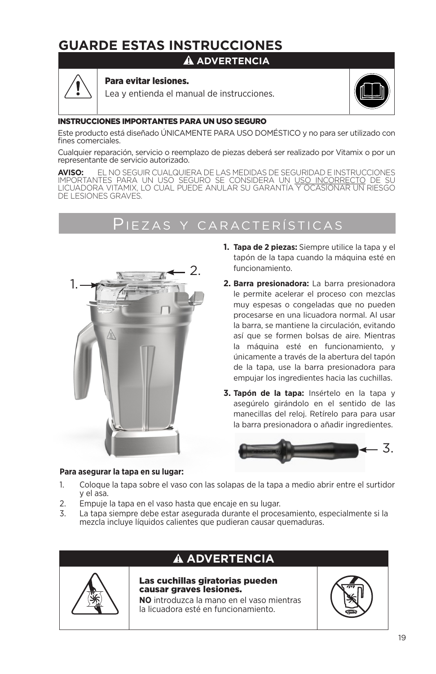# **GUARDE ESTAS INSTRUCCIONES**

### **ADVERTENCIA**



#### Para evitar lesiones.

Lea y entienda el manual de instrucciones.



#### INSTRUCCIONES IMPORTANTES PARA UN USO SEGURO

Este producto está diseñado ÚNICAMENTE PARA USO DOMÉSTICO y no para ser utilizado con fines comerciales.

Cualquier reparación, servicio o reemplazo de piezas deberá ser realizado por Vitamix o por un representante de servicio autorizado.

**AVISO:** EL NO SEGUIR CUALQUIERA DE LAS MEDIDAS DE SEGURIDAD E INSTRUCCIONES IMPORTANTES PARA UN USO SEGURO SE CONSIDERA UN <u>USO INCORRECTO</u> DE SU<br>LICUADORA VITAMIX, LO CUAL PUEDE ANULAR SU GARANTÍA Y OCASIONAR UN RIESGO DE LESIONES GRAVES.

# Piezas y características



- **1. Tapa de 2 piezas:** Siempre utilice la tapa y el tapón de la tapa cuando la máquina esté en funcionamiento.
- **2. Barra presionadora:** La barra presionadora le permite acelerar el proceso con mezclas muy espesas o congeladas que no pueden procesarse en una licuadora normal. Al usar la barra, se mantiene la circulación, evitando así que se formen bolsas de aire. Mientras la máquina esté en funcionamiento, y únicamente a través de la abertura del tapón de la tapa, use la barra presionadora para empujar los ingredientes hacia las cuchillas.
- **3. Tapón de la tapa:** Insértelo en la tapa y asegúrelo girándolo en el sentido de las manecillas del reloj. Retírelo para para usar la barra presionadora o añadir ingredientes.



#### **Para asegurar la tapa en su lugar:**

- 1. Coloque la tapa sobre el vaso con las solapas de la tapa a medio abrir entre el surtidor y el asa.
- 2. Empuje la tapa en el vaso hasta que encaje en su lugar.
- 3. La tapa siempre debe estar asegurada durante el procesamiento, especialmente si la mezcla incluye líquidos calientes que pudieran causar quemaduras.



### **ADVERTENCIA**

#### Las cuchillas giratorias pueden causar graves lesiones.

**NO** introduzca la mano en el vaso mientras la licuadora esté en funcionamiento.

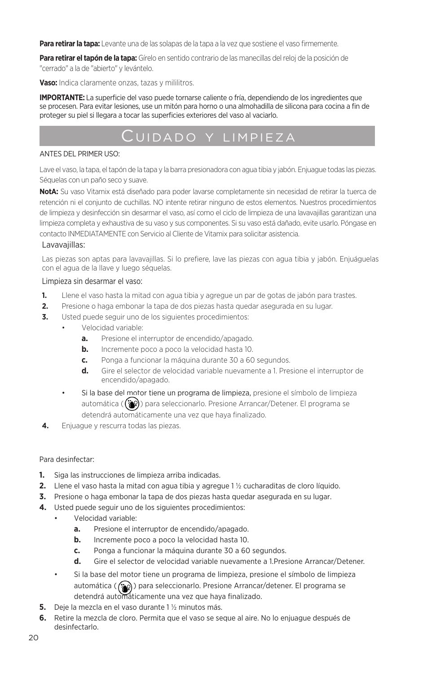**Para retirar la tapa:** Levante una de las solapas de la tapa a la vez que sostiene el vaso firmemente.

**Para retirar el tapón de la tapa:** Gírelo en sentido contrario de las manecillas del reloj de la posición de "cerrado" a la de "abierto" y levántelo.

**Vaso:** Indica claramente onzas, tazas y mililitros.

**IMPORTANTE:** La superficie del vaso puede tornarse caliente o fría, dependiendo de los ingredientes que se procesen. Para evitar lesiones, use un mitón para horno o una almohadilla de silicona para cocina a fin de proteger su piel si llegara a tocar las superficies exteriores del vaso al vaciarlo.

## Cuidado y limpieza

#### ANTES DEL PRIMER USO:

Lave el vaso, la tapa, el tapón de la tapa y la barra presionadora con agua tibia y jabón. Enjuague todas las piezas. Séquelas con un paño seco y suave.

**NotA:** Su vaso Vitamix está diseñado para poder lavarse completamente sin necesidad de retirar la tuerca de retención ni el conjunto de cuchillas. NO intente retirar ninguno de estos elementos. Nuestros procedimientos de limpieza y desinfección sin desarmar el vaso, así como el ciclo de limpieza de una lavavajillas garantizan una limpieza completa y exhaustiva de su vaso y sus componentes. Si su vaso está dañado, evite usarlo. Póngase en contacto INMEDIATAMENTE con Servicio al Cliente de Vitamix para solicitar asistencia.

#### Lavavajillas:

Las piezas son aptas para lavavajillas. Si lo prefiere, lave las piezas con agua tibia y jabón. Enjuáguelas con el agua de la llave y luego séquelas.

#### Limpieza sin desarmar el vaso:

- **1.** Llene el vaso hasta la mitad con agua tibia y agregue un par de gotas de jabón para trastes.
- **2.** Presione o haga embonar la tapa de dos piezas hasta quedar asegurada en su lugar.
- **3.** Usted puede seguir uno de los siguientes procedimientos:
	- Velocidad variable:
		- **a.** Presione el interruptor de encendido/apagado.
		- **b.** Incremente poco a poco la velocidad hasta 10.
		- **c.** Ponga a funcionar la máquina durante 30 a 60 segundos.
		- **d.** Gire el selector de velocidad variable nuevamente a 1. Presione el interruptor de encendido/apagado.
		- Si la base del motor tiene un programa de limpieza, presione el símbolo de limpieza automática ( $(\ddot{\bullet}$ ) para seleccionarlo. Presione Arrancar/Detener. El programa se detendrá automáticamente una vez que haya finalizado.
- **4.** Enjuague y rescurra todas las piezas.

#### Para desinfectar:

- **1.** Siga las instrucciones de limpieza arriba indicadas.
- **2.** Llene el vaso hasta la mitad con agua tibia y agregue 1 ½ cucharaditas de cloro líquido.
- **3.** Presione o haga embonar la tapa de dos piezas hasta quedar asegurada en su lugar.
- **4.** Usted puede seguir uno de los siguientes procedimientos:
	- Velocidad variable:
		- **a.** Presione el interruptor de encendido/apagado.
		- **b.** Incremente poco a poco la velocidad hasta 10.
		- **c.** Ponga a funcionar la máquina durante 30 a 60 segundos.
		- **d.** Gire el selector de velocidad variable nuevamente a 1.Presione Arrancar/Detener.
	- Si la base del motor tiene un programa de limpieza, presione el símbolo de limpieza automática (( $\circledast$ ) para seleccionarlo. Presione Arrancar/detener. El programa se detendrá automáticamente una vez que haya finalizado.
- **5.** Deje la mezcla en el vaso durante 1 ½ minutos más.
- **6.** Retire la mezcla de cloro. Permita que el vaso se seque al aire. No lo enjuague después de desinfectarlo.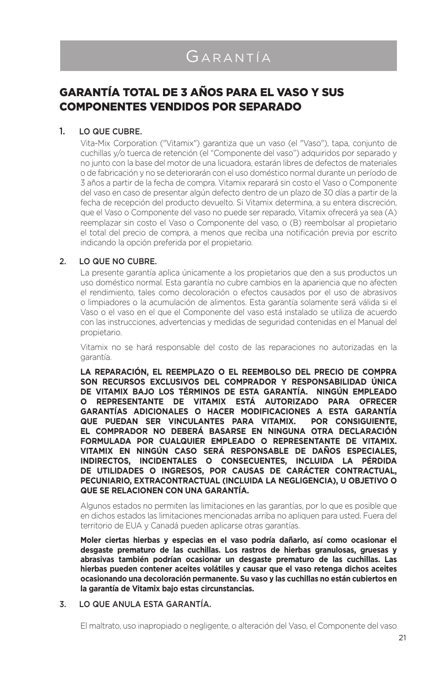### GARANTÍA TOTAL DE 3 AÑOS PARA EL VASO Y SUS COMPONENTES VENDIDOS POR SEPARADO

#### 1. LO QUE CUBRE.

Vita-Mix Corporation ("Vitamix") garantiza que un vaso (el "Vaso"), tapa, conjunto de cuchillas y/o tuerca de retención (el "Componente del vaso") adquiridos por separado y no junto con la base del motor de una licuadora, estarán libres de defectos de materiales o de fabricación y no se deteriorarán con el uso doméstico normal durante un período de 3 años a partir de la fecha de compra. Vitamix reparará sin costo el Vaso o Componente del vaso en caso de presentar algún defecto dentro de un plazo de 30 días a partir de la fecha de recepción del producto devuelto. Si Vitamix determina, a su entera discreción, que el Vaso o Componente del vaso no puede ser reparado, Vitamix ofrecerá ya sea (A) reemplazar sin costo el Vaso o Componente del vaso, o (B) reembolsar al propietario el total del precio de compra, a menos que reciba una notificación previa por escrito indicando la opción preferida por el propietario.

#### 2. LO QUE NO CUBRE.

La presente garantía aplica únicamente a los propietarios que den a sus productos un uso doméstico normal. Esta garantía no cubre cambios en la apariencia que no afecten el rendimiento, tales como decoloración o efectos causados por el uso de abrasivos o limpiadores o la acumulación de alimentos. Esta garantía solamente será válida si el Vaso o el vaso en el que el Componente del vaso está instalado se utiliza de acuerdo con las instrucciones, advertencias y medidas de seguridad contenidas en el Manual del propietario.

Vitamix no se hará responsable del costo de las reparaciones no autorizadas en la garantía.

**LA REPARACIÓN, EL REEMPLAZO O EL REEMBOLSO DEL PRECIO DE COMPRA SON RECURSOS EXCLUSIVOS DEL COMPRADOR Y RESPONSABILIDAD ÚNICA DE VITAMIX BAJO LOS TÉRMINOS DE ESTA GARANTÍA. NINGÚN EMPLEADO O REPRESENTANTE DE VITAMIX ESTÁ AUTORIZADO PARA OFRECER GARANTÍAS ADICIONALES O HACER MODIFICACIONES A ESTA GARANTÍA QUE PUEDAN SER VINCULANTES PARA VITAMIX. POR CONSIGUIENTE, EL COMPRADOR NO DEBERÁ BASARSE EN NINGUNA OTRA DECLARACIÓN FORMULADA POR CUALQUIER EMPLEADO O REPRESENTANTE DE VITAMIX. VITAMIX EN NINGÚN CASO SERÁ RESPONSABLE DE DAÑOS ESPECIALES, INDIRECTOS, INCIDENTALES O CONSECUENTES, INCLUIDA LA PÉRDIDA DE UTILIDADES O INGRESOS, POR CAUSAS DE CARÁCTER CONTRACTUAL, PECUNIARIO, EXTRACONTRACTUAL (INCLUIDA LA NEGLIGENCIA), U OBJETIVO O QUE SE RELACIONEN CON UNA GARANTÍA.** 

Algunos estados no permiten las limitaciones en las garantías, por lo que es posible que en dichos estados las limitaciones mencionadas arriba no apliquen para usted. Fuera del territorio de EUA y Canadá pueden aplicarse otras garantías.

**Moler ciertas hierbas y especias en el vaso podría dañarlo, así como ocasionar el desgaste prematuro de las cuchillas. Los rastros de hierbas granulosas, gruesas y abrasivas también podrían ocasionar un desgaste prematuro de las cuchillas. Las hierbas pueden contener aceites volátiles y causar que el vaso retenga dichos aceites ocasionando una decoloración permanente. Su vaso y las cuchillas no están cubiertos en la garantía de Vitamix bajo estas circunstancias.**

#### 3. LO QUE ANULA ESTA GARANTÍA.

El maltrato, uso inapropiado o negligente, o alteración del Vaso, el Componente del vaso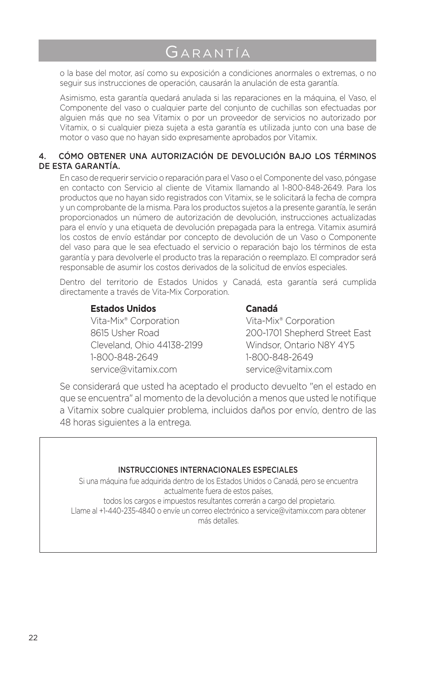# Garantía

o la base del motor, así como su exposición a condiciones anormales o extremas, o no seguir sus instrucciones de operación, causarán la anulación de esta garantía.

Asimismo, esta garantía quedará anulada si las reparaciones en la máquina, el Vaso, el Componente del vaso o cualquier parte del conjunto de cuchillas son efectuadas por alguien más que no sea Vitamix o por un proveedor de servicios no autorizado por Vitamix, o si cualquier pieza sujeta a esta garantía es utilizada junto con una base de motor o vaso que no hayan sido expresamente aprobados por Vitamix.

#### 4. CÓMO OBTENER UNA AUTORIZACIÓN DE DEVOLUCIÓN BAJO LOS TÉRMINOS DE ESTA GARANTÍA.

En caso de requerir servicio o reparación para el Vaso o el Componente del vaso, póngase en contacto con Servicio al cliente de Vitamix llamando al 1-800-848-2649. Para los productos que no hayan sido registrados con Vitamix, se le solicitará la fecha de compra y un comprobante de la misma. Para los productos sujetos a la presente garantía, le serán proporcionados un número de autorización de devolución, instrucciones actualizadas para el envío y una etiqueta de devolución prepagada para la entrega. Vitamix asumirá los costos de envío estándar por concepto de devolución de un Vaso o Componente del vaso para que le sea efectuado el servicio o reparación bajo los términos de esta garantía y para devolverle el producto tras la reparación o reemplazo. El comprador será responsable de asumir los costos derivados de la solicitud de envíos especiales.

Dentro del territorio de Estados Unidos y Canadá, esta garantía será cumplida directamente a través de Vita-Mix Corporation.

#### **Estados Unidos Canadá**

Vita-Mix® Corporation Vita-Mix® Corporation Cleveland, Ohio 44138-2199 Windsor, Ontario N8Y 4Y5 1-800-848-2649 1-800-848-2649 service@vitamix.com service@vitamix.com

8615 Usher Road 200-1701 Shepherd Street East

Se considerará que usted ha aceptado el producto devuelto "en el estado en que se encuentra" al momento de la devolución a menos que usted le notifique a Vitamix sobre cualquier problema, incluidos daños por envío, dentro de las 48 horas siguientes a la entrega.

#### INSTRUCCIONES INTERNACIONALES ESPECIALES

Si una máquina fue adquirida dentro de los Estados Unidos o Canadá, pero se encuentra actualmente fuera de estos países, todos los cargos e impuestos resultantes correrán a cargo del propietario. Llame al +1-440-235-4840 o envíe un correo electrónico a service@vitamix.com para obtener más detalles.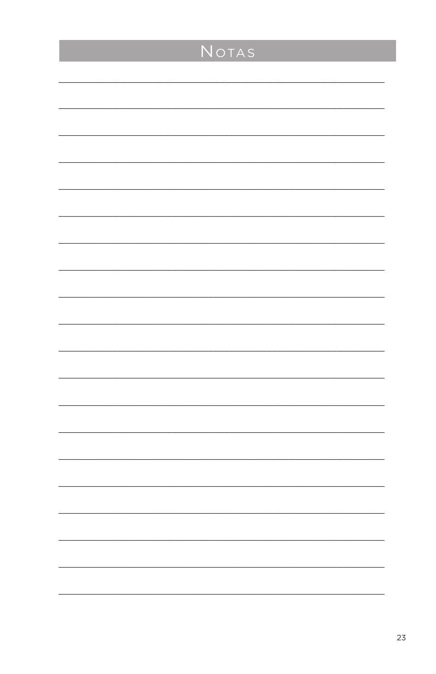| NOTAS |
|-------|
|       |
|       |
|       |
|       |
|       |
|       |
|       |
|       |
|       |
|       |
|       |
|       |
|       |
|       |
|       |
|       |
|       |
|       |
|       |
|       |
|       |
|       |